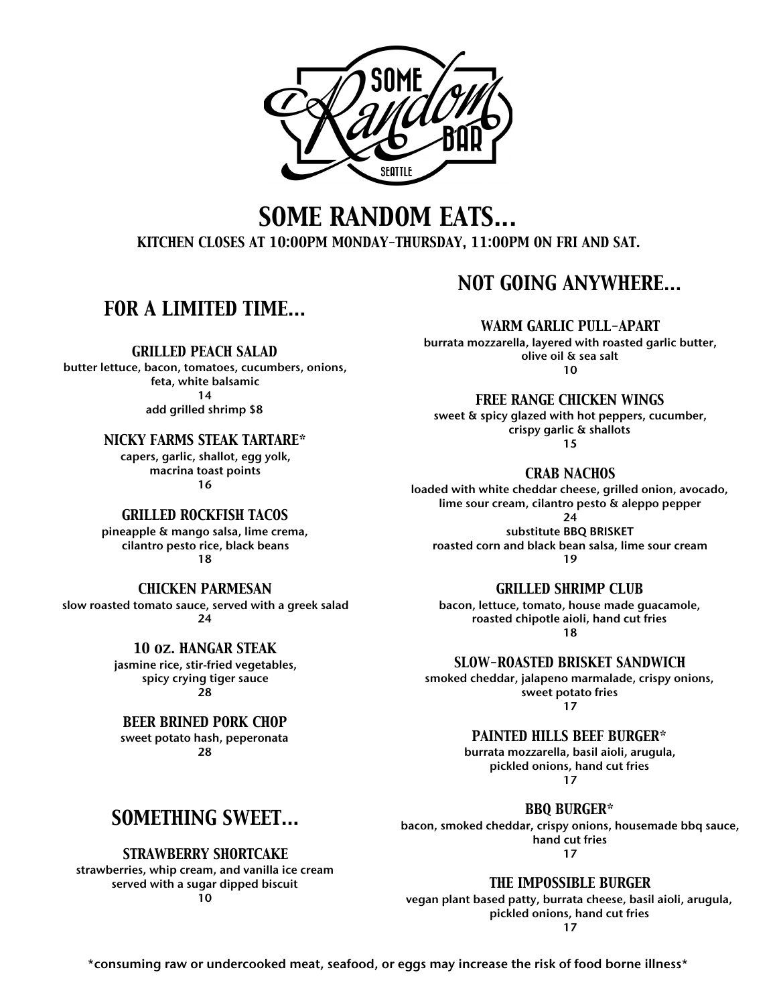

## *SOME RANDOM EATS...*

*KITCHEN CLOSES AT 10:00PM MONDAY-THURSDAY, 11:00PM ON FRI AND SAT.*

### *FOR A LIMITED TIME…*

*GRILLED PEACH SALAD*

butter lettuce, bacon, tomatoes, cucumbers, onions, feta, white balsamic 14 add grilled shrimp \$8

*NICKY FARMS STEAK TARTARE\**

capers, garlic, shallot, egg yolk, macrina toast points 16

#### *GRILLED ROCKFISH TACOS*

pineapple & mango salsa, lime crema, cilantro pesto rice, black beans 18

#### *CHICKEN PARMESAN*

slow roasted tomato sauce, served with a greek salad 24

> *10 oz. HANGAR STEAK* jasmine rice, stir-fried vegetables, spicy crying tiger sauce

28

#### *BEER BRINED PORK CHOP*

sweet potato hash, peperonata 28

### *NOT GOING ANYWHERE…*

*WARM GARLIC PULL-APART*

burrata mozzarella, layered with roasted garlic butter, olive oil & sea salt 10

*FREE RANGE CHICKEN WINGS*

sweet & spicy glazed with hot peppers, cucumber, crispy garlic & shallots 15

*CRAB NACHOS*

loaded with white cheddar cheese, grilled onion, avocado, lime sour cream, cilantro pesto & aleppo pepper

24

substitute BBQ BRISKET roasted corn and black bean salsa, lime sour cream 19

*GRILLED SHRIMP CLUB*

bacon, lettuce, tomato, house made guacamole, roasted chipotle aioli, hand cut fries 18

*SLOW-ROASTED BRISKET SANDWICH*

smoked cheddar, jalapeno marmalade, crispy onions, sweet potato fries 17

### *PAINTED HILLS BEEF BURGER\**

burrata mozzarella, basil aioli, arugula, pickled onions, hand cut fries 17

*BBQ BURGER\**

bacon, smoked cheddar, crispy onions, housemade bbq sauce, hand cut fries 17

*THE IMPOSSIBLE BURGER*

vegan plant based patty, burrata cheese, basil aioli, arugula, pickled onions, hand cut fries 17

## *SOMETHING SWEET…*

### *STRAWBERRY SHORTCAKE*

strawberries, whip cream, and vanilla ice cream served with a sugar dipped biscuit 10

\*consuming raw or undercooked meat, seafood, or eggs may increase the risk of food borne illness\*